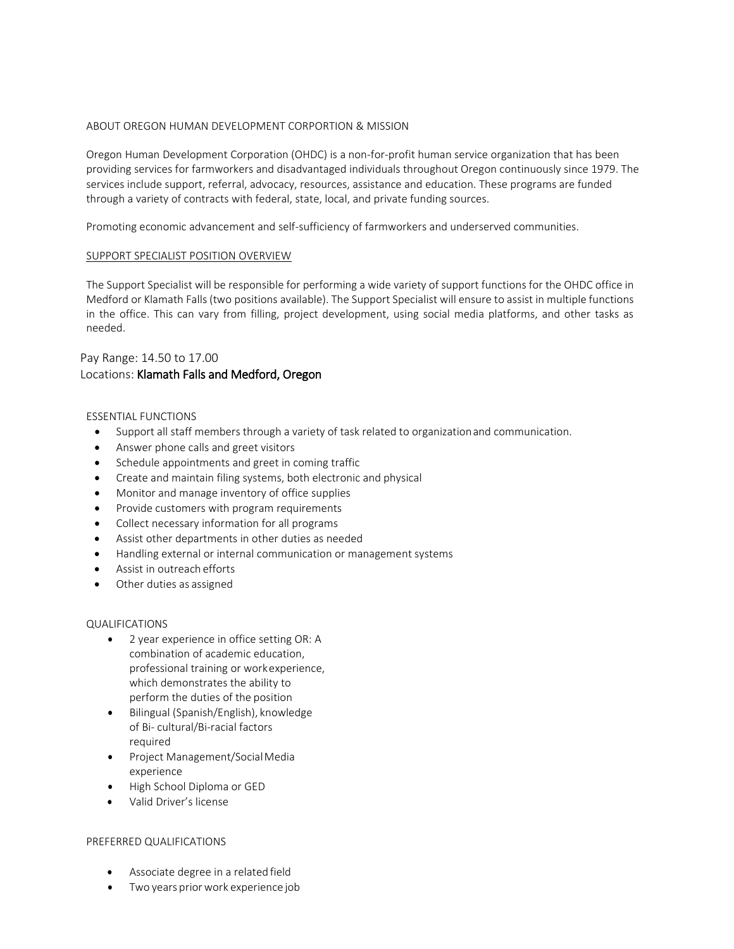### ABOUT OREGON HUMAN DEVELOPMENT CORPORTION & MISSION

Oregon Human Development Corporation (OHDC) is a non-for-profit human service organization that has been providing services for farmworkers and disadvantaged individuals throughout Oregon continuously since 1979. The services include support, referral, advocacy, resources, assistance and education. These programs are funded through a variety of contracts with federal, state, local, and private funding sources.

Promoting economic advancement and self-sufficiency of farmworkers and underserved communities.

#### SUPPORT SPECIALIST POSITION OVERVIEW

The Support Specialist will be responsible for performing a wide variety of support functions for the OHDC office in Medford or Klamath Falls (two positions available). The Support Specialist will ensure to assist in multiple functions in the office. This can vary from filling, project development, using social media platforms, and other tasks as needed.

# Pay Range: 14.50 to 17.00 Locations: Klamath Falls and Medford, Oregon

### ESSENTIAL FUNCTIONS

- Support all staff members through a variety of task related to organizationand communication.
- Answer phone calls and greet visitors
- Schedule appointments and greet in coming traffic
- Create and maintain filing systems, both electronic and physical
- Monitor and manage inventory of office supplies
- Provide customers with program requirements
- Collect necessary information for all programs
- Assist other departments in other duties as needed
- Handling external or internal communication or management systems
- Assist in outreach efforts
- Other duties as assigned

## QUALIFICATIONS

- 2 year experience in office setting OR: A combination of academic education, professional training or workexperience, which demonstrates the ability to perform the duties of the position
- Bilingual (Spanish/English), knowledge of Bi- cultural/Bi-racial factors required
- Project Management/SocialMedia experience
- High School Diploma or GED
- Valid Driver's license

## PREFERRED QUALIFICATIONS

- Associate degree in a related field
- Two years priorwork experience job